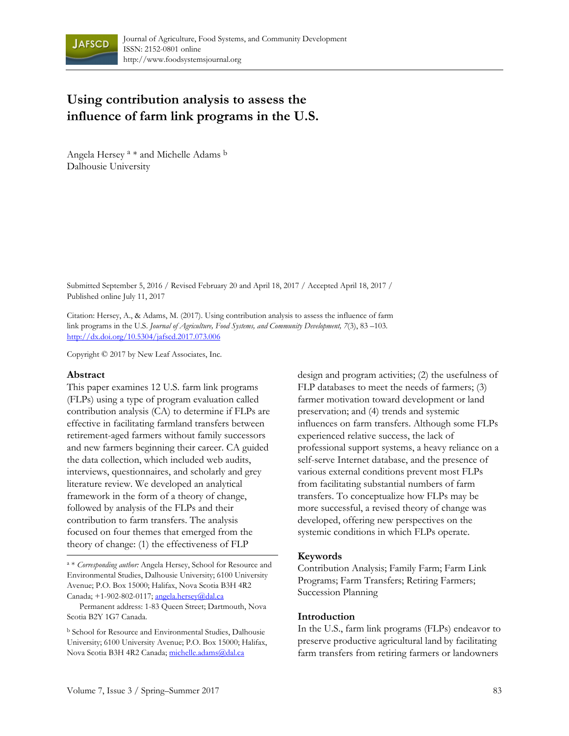

# **Using contribution analysis to assess the influence of farm link programs in the U.S.**

Angela Hersey<sup>a</sup> \* and Michelle Adams b Dalhousie University

Submitted September 5, 2016 / Revised February 20 and April 18, 2017 / Accepted April 18, 2017 / Published online July 11, 2017

Citation: Hersey, A., & Adams, M. (2017). Using contribution analysis to assess the influence of farm link programs in the U.S. *Journal of Agriculture, Food Systems, and Community Development, 7*(3), 83 –103. http://dx.doi.org/10.5304/jafscd.2017.073.006

Copyright © 2017 by New Leaf Associates, Inc.

#### **Abstract**

This paper examines 12 U.S. farm link programs (FLPs) using a type of program evaluation called contribution analysis (CA) to determine if FLPs are effective in facilitating farmland transfers between retirement-aged farmers without family successors and new farmers beginning their career. CA guided the data collection, which included web audits, interviews, questionnaires, and scholarly and grey literature review. We developed an analytical framework in the form of a theory of change, followed by analysis of the FLPs and their contribution to farm transfers. The analysis focused on four themes that emerged from the theory of change: (1) the effectiveness of FLP

a \* *Corresponding author:* Angela Hersey, School for Resource and Environmental Studies, Dalhousie University; 6100 University Avenue; P.O. Box 15000; Halifax, Nova Scotia B3H 4R2 Canada; +1-902-802-0117; angela.hersey@dal.ca

 Permanent address: 1-83 Queen Street; Dartmouth, Nova Scotia B2Y 1G7 Canada.

b School for Resource and Environmental Studies, Dalhousie University; 6100 University Avenue; P.O. Box 15000; Halifax, Nova Scotia B3H 4R2 Canada; michelle.adams@dal.ca

design and program activities; (2) the usefulness of FLP databases to meet the needs of farmers; (3) farmer motivation toward development or land preservation; and (4) trends and systemic influences on farm transfers. Although some FLPs experienced relative success, the lack of professional support systems, a heavy reliance on a self-serve Internet database, and the presence of various external conditions prevent most FLPs from facilitating substantial numbers of farm transfers. To conceptualize how FLPs may be more successful, a revised theory of change was developed, offering new perspectives on the systemic conditions in which FLPs operate.

#### **Keywords**

Contribution Analysis; Family Farm; Farm Link Programs; Farm Transfers; Retiring Farmers; Succession Planning

#### **Introduction**

In the U.S., farm link programs (FLPs) endeavor to preserve productive agricultural land by facilitating farm transfers from retiring farmers or landowners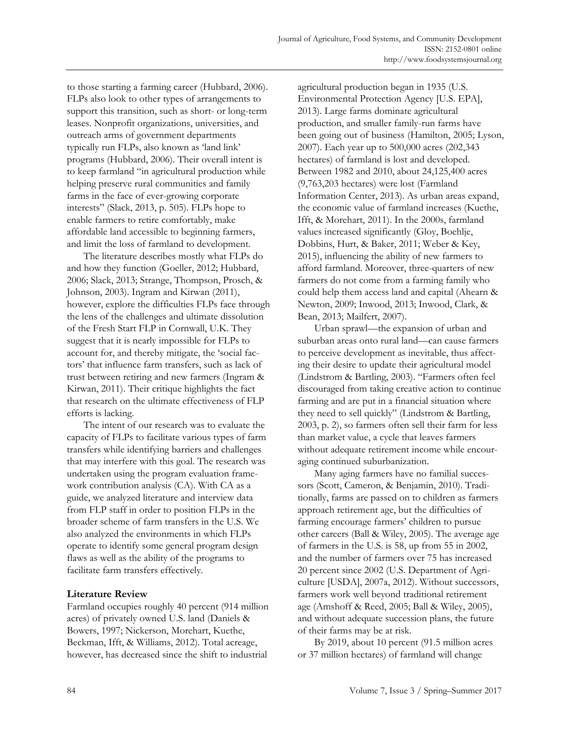to those starting a farming career (Hubbard, 2006). FLPs also look to other types of arrangements to support this transition, such as short- or long-term leases. Nonprofit organizations, universities, and outreach arms of government departments typically run FLPs, also known as 'land link' programs (Hubbard, 2006). Their overall intent is to keep farmland "in agricultural production while helping preserve rural communities and family farms in the face of ever-growing corporate interests" (Slack, 2013, p. 505). FLPs hope to enable farmers to retire comfortably, make affordable land accessible to beginning farmers, and limit the loss of farmland to development.

 The literature describes mostly what FLPs do and how they function (Goeller, 2012; Hubbard, 2006; Slack, 2013; Strange, Thompson, Prosch, & Johnson, 2003). Ingram and Kirwan (2011), however, explore the difficulties FLPs face through the lens of the challenges and ultimate dissolution of the Fresh Start FLP in Cornwall, U.K. They suggest that it is nearly impossible for FLPs to account for, and thereby mitigate, the 'social factors' that influence farm transfers, such as lack of trust between retiring and new farmers (Ingram & Kirwan, 2011). Their critique highlights the fact that research on the ultimate effectiveness of FLP efforts is lacking.

 The intent of our research was to evaluate the capacity of FLPs to facilitate various types of farm transfers while identifying barriers and challenges that may interfere with this goal. The research was undertaken using the program evaluation framework contribution analysis (CA). With CA as a guide, we analyzed literature and interview data from FLP staff in order to position FLPs in the broader scheme of farm transfers in the U.S. We also analyzed the environments in which FLPs operate to identify some general program design flaws as well as the ability of the programs to facilitate farm transfers effectively.

### **Literature Review**

Farmland occupies roughly 40 percent (914 million acres) of privately owned U.S. land (Daniels & Bowers, 1997; Nickerson, Morehart, Kuethe, Beckman, Ifft, & Williams, 2012). Total acreage, however, has decreased since the shift to industrial

agricultural production began in 1935 (U.S. Environmental Protection Agency [U.S. EPA], 2013). Large farms dominate agricultural production, and smaller family-run farms have been going out of business (Hamilton, 2005; Lyson, 2007). Each year up to 500,000 acres (202,343 hectares) of farmland is lost and developed. Between 1982 and 2010, about 24,125,400 acres (9,763,203 hectares) were lost (Farmland Information Center, 2013). As urban areas expand, the economic value of farmland increases (Kuethe, Ifft, & Morehart, 2011). In the 2000s, farmland values increased significantly (Gloy, Boehlje, Dobbins, Hurt, & Baker, 2011; Weber & Key, 2015), influencing the ability of new farmers to afford farmland. Moreover, three-quarters of new farmers do not come from a farming family who could help them access land and capital (Ahearn & Newton, 2009; Inwood, 2013; Inwood, Clark, & Bean, 2013; Mailfert, 2007).

 Urban sprawl—the expansion of urban and suburban areas onto rural land—can cause farmers to perceive development as inevitable, thus affecting their desire to update their agricultural model (Lindstrom & Bartling, 2003). "Farmers often feel discouraged from taking creative action to continue farming and are put in a financial situation where they need to sell quickly" (Lindstrom & Bartling, 2003, p. 2), so farmers often sell their farm for less than market value, a cycle that leaves farmers without adequate retirement income while encouraging continued suburbanization.

 Many aging farmers have no familial successors (Scott, Cameron, & Benjamin, 2010). Traditionally, farms are passed on to children as farmers approach retirement age, but the difficulties of farming encourage farmers' children to pursue other careers (Ball & Wiley, 2005). The average age of farmers in the U.S. is 58, up from 55 in 2002, and the number of farmers over 75 has increased 20 percent since 2002 (U.S. Department of Agriculture [USDA], 2007a, 2012). Without successors, farmers work well beyond traditional retirement age (Amshoff & Reed, 2005; Ball & Wiley, 2005), and without adequate succession plans, the future of their farms may be at risk.

 By 2019, about 10 percent (91.5 million acres or 37 million hectares) of farmland will change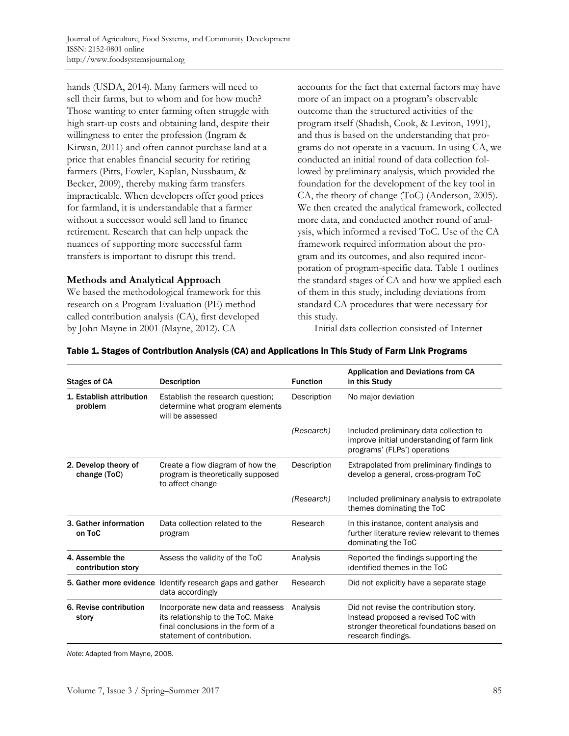hands (USDA, 2014). Many farmers will need to sell their farms, but to whom and for how much? Those wanting to enter farming often struggle with high start-up costs and obtaining land, despite their willingness to enter the profession (Ingram & Kirwan, 2011) and often cannot purchase land at a price that enables financial security for retiring farmers (Pitts, Fowler, Kaplan, Nussbaum, & Becker, 2009), thereby making farm transfers impracticable. When developers offer good prices for farmland, it is understandable that a farmer without a successor would sell land to finance retirement. Research that can help unpack the nuances of supporting more successful farm transfers is important to disrupt this trend.

### **Methods and Analytical Approach**

We based the methodological framework for this research on a Program Evaluation (PE) method called contribution analysis (CA), first developed by John Mayne in 2001 (Mayne, 2012). CA

accounts for the fact that external factors may have more of an impact on a program's observable outcome than the structured activities of the program itself (Shadish, Cook, & Leviton, 1991), and thus is based on the understanding that programs do not operate in a vacuum. In using CA, we conducted an initial round of data collection followed by preliminary analysis, which provided the foundation for the development of the key tool in CA, the theory of change (ToC) (Anderson, 2005). We then created the analytical framework, collected more data, and conducted another round of analysis, which informed a revised ToC. Use of the CA framework required information about the program and its outcomes, and also required incorporation of program-specific data. Table 1 outlines the standard stages of CA and how we applied each of them in this study, including deviations from standard CA procedures that were necessary for this study.

Initial data collection consisted of Internet

| <b>Stages of CA</b>                   | <b>Description</b>                                                                                                                         | <b>Function</b> | <b>Application and Deviations from CA</b><br>in this Study                                                                                       |
|---------------------------------------|--------------------------------------------------------------------------------------------------------------------------------------------|-----------------|--------------------------------------------------------------------------------------------------------------------------------------------------|
| 1. Establish attribution<br>problem   | Establish the research question;<br>determine what program elements<br>will be assessed                                                    | Description     | No major deviation                                                                                                                               |
|                                       |                                                                                                                                            | (Research)      | Included preliminary data collection to<br>improve initial understanding of farm link<br>programs' (FLPs') operations                            |
| 2. Develop theory of<br>change (ToC)  | Create a flow diagram of how the<br>program is theoretically supposed<br>to affect change                                                  | Description     | Extrapolated from preliminary findings to<br>develop a general, cross-program ToC                                                                |
|                                       |                                                                                                                                            | (Research)      | Included preliminary analysis to extrapolate<br>themes dominating the ToC                                                                        |
| 3. Gather information<br>on ToC       | Data collection related to the<br>program                                                                                                  | Research        | In this instance, content analysis and<br>further literature review relevant to themes<br>dominating the ToC                                     |
| 4. Assemble the<br>contribution story | Assess the validity of the ToC                                                                                                             | Analysis        | Reported the findings supporting the<br>identified themes in the ToC                                                                             |
|                                       | 5. Gather more evidence Identify research gaps and gather<br>data accordingly                                                              | Research        | Did not explicitly have a separate stage                                                                                                         |
| 6. Revise contribution<br>story       | Incorporate new data and reassess<br>its relationship to the ToC. Make<br>final conclusions in the form of a<br>statement of contribution. | Analysis        | Did not revise the contribution story.<br>Instead proposed a revised ToC with<br>stronger theoretical foundations based on<br>research findings. |

#### Table 1. Stages of Contribution Analysis (CA) and Applications in This Study of Farm Link Programs

*Note*: Adapted from Mayne, 2008.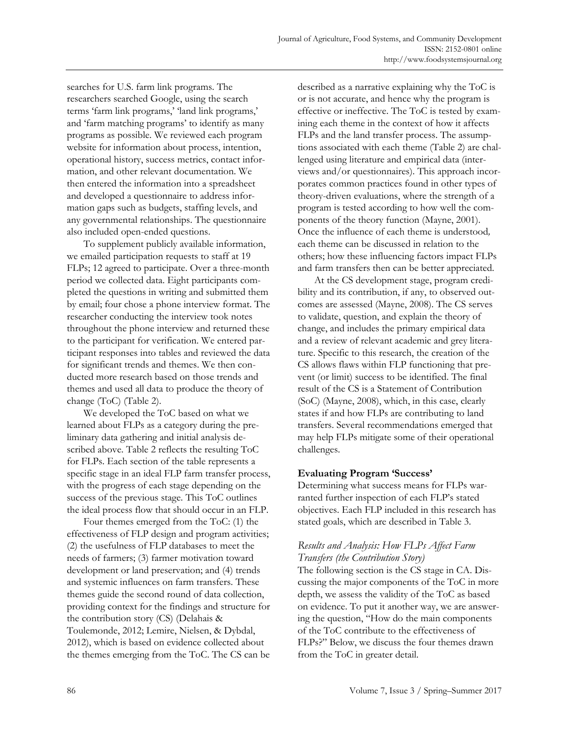searches for U.S. farm link programs. The researchers searched Google, using the search terms 'farm link programs,' 'land link programs,' and 'farm matching programs' to identify as many programs as possible. We reviewed each program website for information about process, intention, operational history, success metrics, contact information, and other relevant documentation. We then entered the information into a spreadsheet and developed a questionnaire to address information gaps such as budgets, staffing levels, and any governmental relationships. The questionnaire also included open-ended questions.

 To supplement publicly available information, we emailed participation requests to staff at 19 FLPs; 12 agreed to participate. Over a three-month period we collected data. Eight participants completed the questions in writing and submitted them by email; four chose a phone interview format. The researcher conducting the interview took notes throughout the phone interview and returned these to the participant for verification. We entered participant responses into tables and reviewed the data for significant trends and themes. We then conducted more research based on those trends and themes and used all data to produce the theory of change (ToC) (Table 2).

 We developed the ToC based on what we learned about FLPs as a category during the preliminary data gathering and initial analysis described above. Table 2 reflects the resulting ToC for FLPs. Each section of the table represents a specific stage in an ideal FLP farm transfer process, with the progress of each stage depending on the success of the previous stage. This ToC outlines the ideal process flow that should occur in an FLP.

 Four themes emerged from the ToC: (1) the effectiveness of FLP design and program activities; (2) the usefulness of FLP databases to meet the needs of farmers; (3) farmer motivation toward development or land preservation; and (4) trends and systemic influences on farm transfers. These themes guide the second round of data collection, providing context for the findings and structure for the contribution story (CS) (Delahais & Toulemonde, 2012; Lemire, Nielsen, & Dybdal, 2012), which is based on evidence collected about the themes emerging from the ToC. The CS can be described as a narrative explaining why the ToC is or is not accurate, and hence why the program is effective or ineffective. The ToC is tested by examining each theme in the context of how it affects FLPs and the land transfer process. The assumptions associated with each theme (Table 2) are challenged using literature and empirical data (interviews and/or questionnaires). This approach incorporates common practices found in other types of theory-driven evaluations, where the strength of a program is tested according to how well the components of the theory function (Mayne, 2001). Once the influence of each theme is understood*,* each theme can be discussed in relation to the others; how these influencing factors impact FLPs and farm transfers then can be better appreciated.

 At the CS development stage, program credibility and its contribution, if any, to observed outcomes are assessed (Mayne, 2008). The CS serves to validate, question, and explain the theory of change, and includes the primary empirical data and a review of relevant academic and grey literature. Specific to this research, the creation of the CS allows flaws within FLP functioning that prevent (or limit) success to be identified. The final result of the CS is a Statement of Contribution (SoC) (Mayne, 2008), which, in this case, clearly states if and how FLPs are contributing to land transfers. Several recommendations emerged that may help FLPs mitigate some of their operational challenges.

### **Evaluating Program 'Success'**

Determining what success means for FLPs warranted further inspection of each FLP's stated objectives. Each FLP included in this research has stated goals, which are described in Table 3.

# *Results and Analysis: How FLPs Affect Farm Transfers (the Contribution Story)*

The following section is the CS stage in CA. Discussing the major components of the ToC in more depth, we assess the validity of the ToC as based on evidence. To put it another way, we are answering the question, "How do the main components of the ToC contribute to the effectiveness of FLPs?" Below, we discuss the four themes drawn from the ToC in greater detail.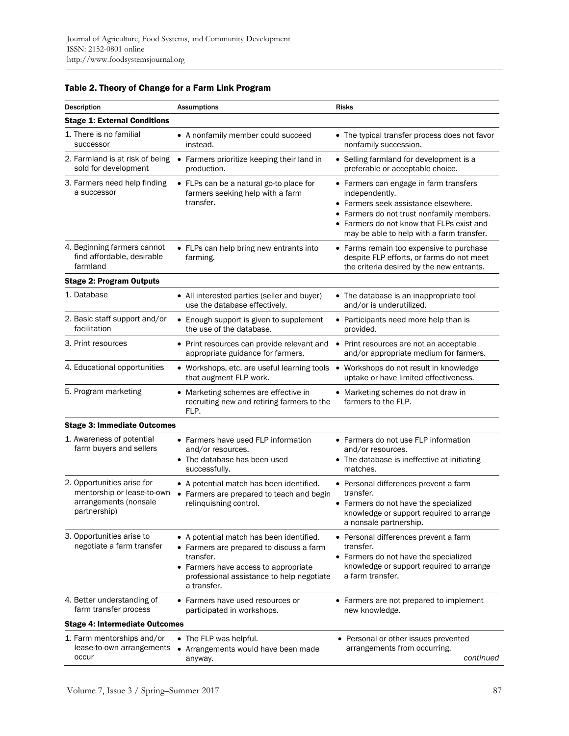| <b>Assumptions</b>                                                                                                                                                                                               | <b>Risks</b>                                                                                                                                                                                                                            |  |  |  |
|------------------------------------------------------------------------------------------------------------------------------------------------------------------------------------------------------------------|-----------------------------------------------------------------------------------------------------------------------------------------------------------------------------------------------------------------------------------------|--|--|--|
|                                                                                                                                                                                                                  |                                                                                                                                                                                                                                         |  |  |  |
| • A nonfamily member could succeed<br>instead.                                                                                                                                                                   | • The typical transfer process does not favor<br>nonfamily succession.                                                                                                                                                                  |  |  |  |
| • Farmers prioritize keeping their land in<br>production.                                                                                                                                                        | • Selling farmland for development is a<br>preferable or acceptable choice.                                                                                                                                                             |  |  |  |
| • FLPs can be a natural go-to place for<br>farmers seeking help with a farm<br>transfer.                                                                                                                         | • Farmers can engage in farm transfers<br>independently.<br>• Farmers seek assistance elsewhere.<br>• Farmers do not trust nonfamily members.<br>• Farmers do not know that FLPs exist and<br>may be able to help with a farm transfer. |  |  |  |
| • FLPs can help bring new entrants into<br>farming.                                                                                                                                                              | • Farms remain too expensive to purchase<br>despite FLP efforts, or farms do not meet<br>the criteria desired by the new entrants.                                                                                                      |  |  |  |
|                                                                                                                                                                                                                  |                                                                                                                                                                                                                                         |  |  |  |
| • All interested parties (seller and buyer)<br>use the database effectively.                                                                                                                                     | • The database is an inappropriate tool<br>and/or is underutilized.                                                                                                                                                                     |  |  |  |
| • Enough support is given to supplement<br>the use of the database.                                                                                                                                              | • Participants need more help than is<br>provided.                                                                                                                                                                                      |  |  |  |
| • Print resources can provide relevant and<br>appropriate guidance for farmers.                                                                                                                                  | • Print resources are not an acceptable<br>and/or appropriate medium for farmers.                                                                                                                                                       |  |  |  |
| • Workshops, etc. are useful learning tools<br>that augment FLP work.                                                                                                                                            | Workshops do not result in knowledge<br>$\bullet$<br>uptake or have limited effectiveness.                                                                                                                                              |  |  |  |
| • Marketing schemes are effective in<br>recruiting new and retiring farmers to the<br>FLP.                                                                                                                       | • Marketing schemes do not draw in<br>farmers to the FLP.                                                                                                                                                                               |  |  |  |
|                                                                                                                                                                                                                  |                                                                                                                                                                                                                                         |  |  |  |
| • Farmers have used FLP information<br>and/or resources.<br>• The database has been used<br>successfully.                                                                                                        | • Farmers do not use FLP information<br>and/or resources.<br>• The database is ineffective at initiating<br>matches.                                                                                                                    |  |  |  |
| • A potential match has been identified.<br>• Farmers are prepared to teach and begin<br>relinquishing control.                                                                                                  | • Personal differences prevent a farm<br>transfer.<br>• Farmers do not have the specialized<br>knowledge or support required to arrange<br>a nonsale partnership.                                                                       |  |  |  |
| • A potential match has been identified.<br>• Farmers are prepared to discuss a farm<br>transfer.<br>Farmers have access to appropriate<br>$\bullet$<br>professional assistance to help negotiate<br>a transfer. | • Personal differences prevent a farm<br>transfer.<br>• Farmers do not have the specialized<br>knowledge or support required to arrange<br>a farm transfer.                                                                             |  |  |  |
| • Farmers have used resources or<br>participated in workshops.                                                                                                                                                   | • Farmers are not prepared to implement<br>new knowledge.                                                                                                                                                                               |  |  |  |
| <b>Stage 4: Intermediate Outcomes</b>                                                                                                                                                                            |                                                                                                                                                                                                                                         |  |  |  |
| • The FLP was helpful.<br>Arrangements would have been made<br>$\bullet$<br>anyway.                                                                                                                              | • Personal or other issues prevented<br>arrangements from occurring.<br>continued                                                                                                                                                       |  |  |  |
|                                                                                                                                                                                                                  | <b>Stage 1: External Conditions</b><br>2. Farmland is at risk of being<br><b>Stage 3: Immediate Outcomes</b><br>mentorship or lease-to-own<br>lease-to-own arrangements                                                                 |  |  |  |

# Table 2. Theory of Change for a Farm Link Program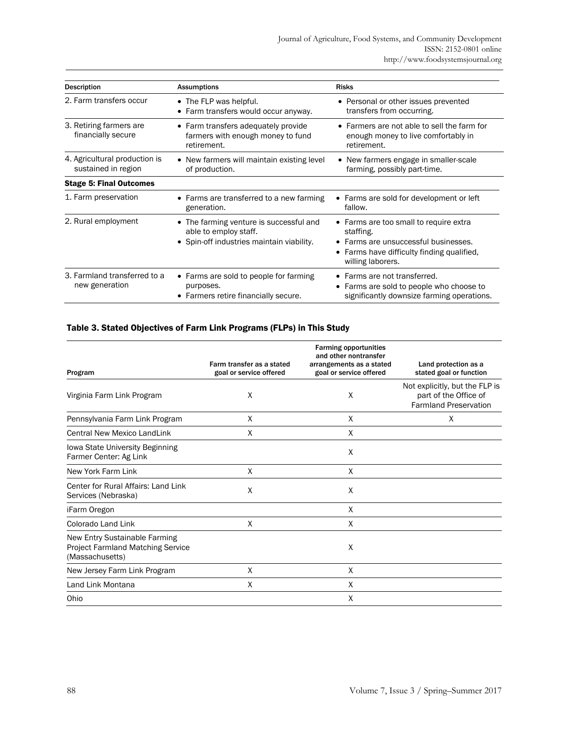| <b>Description</b>                                   | <b>Assumptions</b>                                                                                                       | <b>Risks</b>                                                                                                                                               |
|------------------------------------------------------|--------------------------------------------------------------------------------------------------------------------------|------------------------------------------------------------------------------------------------------------------------------------------------------------|
| 2. Farm transfers occur                              | • The FLP was helpful.<br>Farm transfers would occur anyway.                                                             | • Personal or other issues prevented<br>transfers from occurring.                                                                                          |
| 3. Retiring farmers are.<br>financially secure       | • Farm transfers adequately provide<br>farmers with enough money to fund<br>retirement.                                  | • Farmers are not able to sell the farm for<br>enough money to live comfortably in<br>retirement.                                                          |
| 4. Agricultural production is<br>sustained in region | • New farmers will maintain existing level<br>of production.                                                             | • New farmers engage in smaller-scale<br>farming, possibly part-time.                                                                                      |
| <b>Stage 5: Final Outcomes</b>                       |                                                                                                                          |                                                                                                                                                            |
| 1. Farm preservation                                 | Farms are transferred to a new farming<br>$\bullet$<br>generation.                                                       | • Farms are sold for development or left<br>fallow.                                                                                                        |
| 2. Rural employment                                  | The farming venture is successful and<br>$\bullet$<br>able to employ staff.<br>• Spin-off industries maintain viability. | • Farms are too small to require extra<br>staffing.<br>Farms are unsuccessful businesses.<br>Farms have difficulty finding qualified,<br>willing laborers. |
| 3. Farmland transferred to a<br>new generation       | Farms are sold to people for farming<br>$\bullet$<br>purposes.<br>Farmers retire financially secure.                     | • Farms are not transferred.<br>Farms are sold to people who choose to<br>٠<br>significantly downsize farming operations.                                  |

### Table 3. Stated Objectives of Farm Link Programs (FLPs) in This Study

| Program                                                                                      | Farm transfer as a stated<br>goal or service offered | <b>Farming opportunities</b><br>and other nontransfer<br>arrangements as a stated<br>goal or service offered | Land protection as a<br>stated goal or function                                         |
|----------------------------------------------------------------------------------------------|------------------------------------------------------|--------------------------------------------------------------------------------------------------------------|-----------------------------------------------------------------------------------------|
| Virginia Farm Link Program                                                                   | X                                                    | X                                                                                                            | Not explicitly, but the FLP is<br>part of the Office of<br><b>Farmland Preservation</b> |
| Pennsylvania Farm Link Program                                                               | X                                                    | X                                                                                                            | X                                                                                       |
| <b>Central New Mexico LandLink</b>                                                           | X                                                    | X                                                                                                            |                                                                                         |
| Iowa State University Beginning<br>Farmer Center: Ag Link                                    |                                                      | X                                                                                                            |                                                                                         |
| New York Farm Link                                                                           | X                                                    | X                                                                                                            |                                                                                         |
| Center for Rural Affairs: Land Link<br>Services (Nebraska)                                   | X                                                    | X                                                                                                            |                                                                                         |
| iFarm Oregon                                                                                 |                                                      | X                                                                                                            |                                                                                         |
| Colorado Land Link                                                                           | X                                                    | X                                                                                                            |                                                                                         |
| New Entry Sustainable Farming<br><b>Project Farmland Matching Service</b><br>(Massachusetts) |                                                      | X                                                                                                            |                                                                                         |
| New Jersey Farm Link Program                                                                 | X                                                    | X                                                                                                            |                                                                                         |
| Land Link Montana                                                                            | X                                                    | X                                                                                                            |                                                                                         |
| Ohio                                                                                         |                                                      | X                                                                                                            |                                                                                         |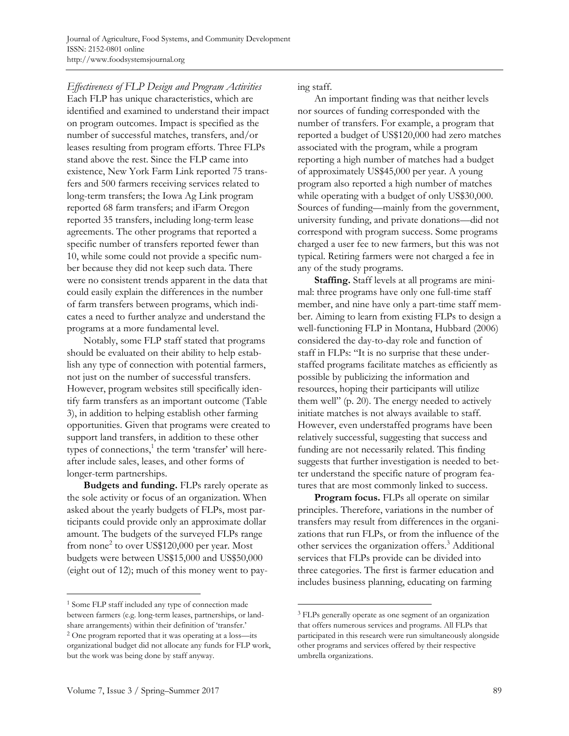*Effectiveness of FLP Design and Program Activities*  Each FLP has unique characteristics, which are identified and examined to understand their impact on program outcomes. Impact is specified as the number of successful matches, transfers, and/or leases resulting from program efforts. Three FLPs stand above the rest. Since the FLP came into existence, New York Farm Link reported 75 transfers and 500 farmers receiving services related to long-term transfers; the Iowa Ag Link program reported 68 farm transfers; and iFarm Oregon reported 35 transfers, including long-term lease agreements. The other programs that reported a specific number of transfers reported fewer than 10, while some could not provide a specific number because they did not keep such data. There were no consistent trends apparent in the data that could easily explain the differences in the number of farm transfers between programs, which indicates a need to further analyze and understand the programs at a more fundamental level.

 Notably, some FLP staff stated that programs should be evaluated on their ability to help establish any type of connection with potential farmers, not just on the number of successful transfers. However, program websites still specifically identify farm transfers as an important outcome (Table 3), in addition to helping establish other farming opportunities. Given that programs were created to support land transfers, in addition to these other types of connections,<sup>1</sup> the term 'transfer' will hereafter include sales, leases, and other forms of longer-term partnerships.

**Budgets and funding.** FLPs rarely operate as the sole activity or focus of an organization. When asked about the yearly budgets of FLPs, most participants could provide only an approximate dollar amount. The budgets of the surveyed FLPs range from none<sup>2</sup> to over US\$120,000 per year. Most budgets were between US\$15,000 and US\$50,000 (eight out of 12); much of this money went to pay-

but the work was being done by staff anyway.

 $\overline{a}$ 

ing staff.

 An important finding was that neither levels nor sources of funding corresponded with the number of transfers. For example, a program that reported a budget of US\$120,000 had zero matches associated with the program, while a program reporting a high number of matches had a budget of approximately US\$45,000 per year. A young program also reported a high number of matches while operating with a budget of only US\$30,000. Sources of funding—mainly from the government, university funding, and private donations—did not correspond with program success. Some programs charged a user fee to new farmers, but this was not typical. Retiring farmers were not charged a fee in any of the study programs.

**Staffing.** Staff levels at all programs are minimal: three programs have only one full-time staff member, and nine have only a part-time staff member. Aiming to learn from existing FLPs to design a well-functioning FLP in Montana, Hubbard (2006) considered the day-to-day role and function of staff in FLPs: "It is no surprise that these understaffed programs facilitate matches as efficiently as possible by publicizing the information and resources, hoping their participants will utilize them well" (p. 20). The energy needed to actively initiate matches is not always available to staff. However, even understaffed programs have been relatively successful, suggesting that success and funding are not necessarily related. This finding suggests that further investigation is needed to better understand the specific nature of program features that are most commonly linked to success.

 **Program focus.** FLPs all operate on similar principles. Therefore, variations in the number of transfers may result from differences in the organizations that run FLPs, or from the influence of the other services the organization offers.<sup>3</sup> Additional services that FLPs provide can be divided into three categories. The first is farmer education and includes business planning, educating on farming

 $\overline{a}$ 

<sup>1</sup> Some FLP staff included any type of connection made between farmers (e.g. long-term leases, partnerships, or landshare arrangements) within their definition of 'transfer.' 2 One program reported that it was operating at a loss—its organizational budget did not allocate any funds for FLP work,

<sup>3</sup> FLPs generally operate as one segment of an organization that offers numerous services and programs. All FLPs that participated in this research were run simultaneously alongside other programs and services offered by their respective umbrella organizations.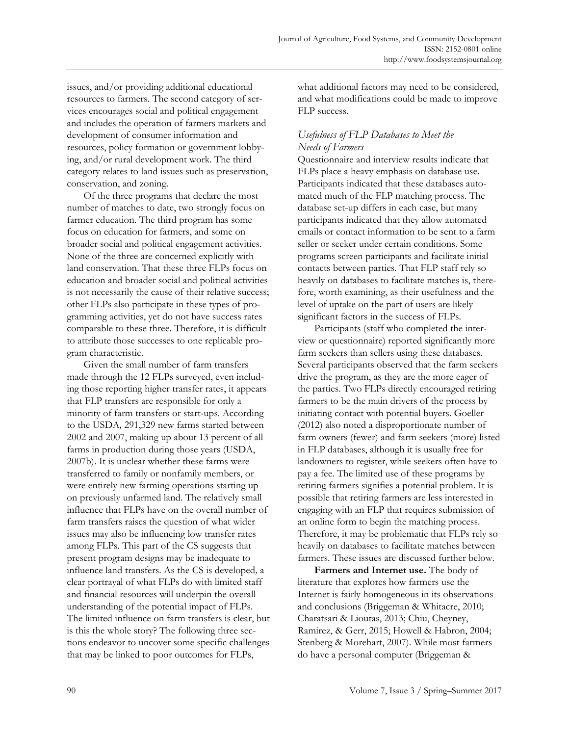issues, and/or providing additional educational resources to farmers. The second category of services encourages social and political engagement and includes the operation of farmers markets and development of consumer information and resources, policy formation or government lobbying, and/or rural development work. The third category relates to land issues such as preservation, conservation, and zoning.

 Of the three programs that declare the most number of matches to date, two strongly focus on farmer education. The third program has some focus on education for farmers, and some on broader social and political engagement activities. None of the three are concerned explicitly with land conservation. That these three FLPs focus on education and broader social and political activities is not necessarily the cause of their relative success; other FLPs also participate in these types of programming activities, yet do not have success rates comparable to these three. Therefore, it is difficult to attribute those successes to one replicable program characteristic.

 Given the small number of farm transfers made through the 12 FLPs surveyed, even including those reporting higher transfer rates, it appears that FLP transfers are responsible for only a minority of farm transfers or start-ups. According to the USDA*,* 291,329 new farms started between 2002 and 2007, making up about 13 percent of all farms in production during those years (USDA, 2007b). It is unclear whether these farms were transferred to family or nonfamily members, or were entirely new farming operations starting up on previously unfarmed land. The relatively small influence that FLPs have on the overall number of farm transfers raises the question of what wider issues may also be influencing low transfer rates among FLPs. This part of the CS suggests that present program designs may be inadequate to influence land transfers. As the CS is developed*,* a clear portrayal of what FLPs do with limited staff and financial resources will underpin the overall understanding of the potential impact of FLPs. The limited influence on farm transfers is clear, but is this the whole story? The following three sections endeavor to uncover some specific challenges that may be linked to poor outcomes for FLPs,

what additional factors may need to be considered, and what modifications could be made to improve FLP success.

# *Usefulness of FLP Databases to Meet the Needs of Farmers*

Questionnaire and interview results indicate that FLPs place a heavy emphasis on database use. Participants indicated that these databases automated much of the FLP matching process. The database set-up differs in each case, but many participants indicated that they allow automated emails or contact information to be sent to a farm seller or seeker under certain conditions. Some programs screen participants and facilitate initial contacts between parties. That FLP staff rely so heavily on databases to facilitate matches is, therefore, worth examining, as their usefulness and the level of uptake on the part of users are likely significant factors in the success of FLPs.

 Participants (staff who completed the interview or questionnaire) reported significantly more farm seekers than sellers using these databases. Several participants observed that the farm seekers drive the program, as they are the more eager of the parties. Two FLPs directly encouraged retiring farmers to be the main drivers of the process by initiating contact with potential buyers. Goeller (2012) also noted a disproportionate number of farm owners (fewer) and farm seekers (more) listed in FLP databases, although it is usually free for landowners to register, while seekers often have to pay a fee. The limited use of these programs by retiring farmers signifies a potential problem. It is possible that retiring farmers are less interested in engaging with an FLP that requires submission of an online form to begin the matching process. Therefore, it may be problematic that FLPs rely so heavily on databases to facilitate matches between farmers. These issues are discussed further below.

**Farmers and Internet use.** The body of literature that explores how farmers use the Internet is fairly homogeneous in its observations and conclusions (Briggeman & Whitacre, 2010; Charatsari & Lioutas, 2013; Chiu, Cheyney, Ramirez, & Gerr, 2015; Howell & Habron, 2004; Stenberg & Morehart, 2007). While most farmers do have a personal computer (Briggeman &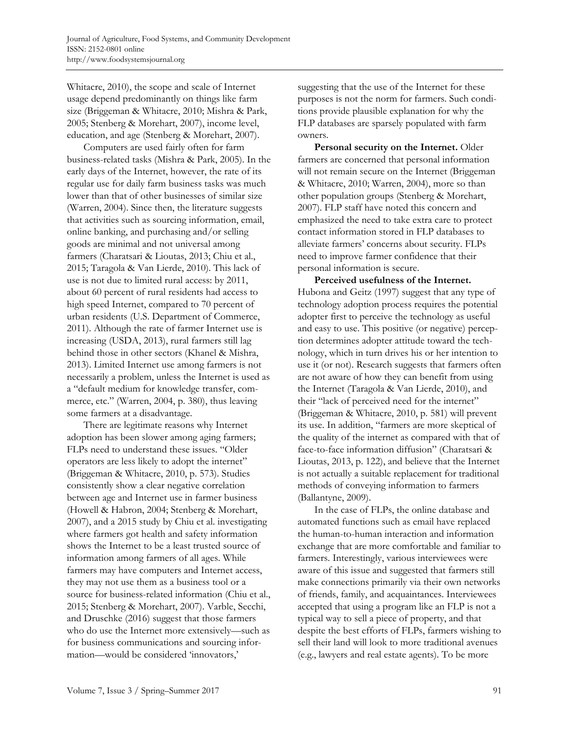Whitacre, 2010), the scope and scale of Internet usage depend predominantly on things like farm size (Briggeman & Whitacre, 2010; Mishra & Park, 2005; Stenberg & Morehart, 2007), income level, education, and age (Stenberg & Morehart, 2007).

 Computers are used fairly often for farm business-related tasks (Mishra & Park, 2005). In the early days of the Internet, however, the rate of its regular use for daily farm business tasks was much lower than that of other businesses of similar size (Warren, 2004). Since then, the literature suggests that activities such as sourcing information, email, online banking, and purchasing and/or selling goods are minimal and not universal among farmers (Charatsari & Lioutas, 2013; Chiu et al., 2015; Taragola & Van Lierde, 2010). This lack of use is not due to limited rural access: by 2011, about 60 percent of rural residents had access to high speed Internet, compared to 70 percent of urban residents (U.S. Department of Commerce, 2011). Although the rate of farmer Internet use is increasing (USDA, 2013), rural farmers still lag behind those in other sectors (Khanel & Mishra, 2013). Limited Internet use among farmers is not necessarily a problem, unless the Internet is used as a "default medium for knowledge transfer, commerce, etc." (Warren, 2004, p. 380), thus leaving some farmers at a disadvantage.

 There are legitimate reasons why Internet adoption has been slower among aging farmers; FLPs need to understand these issues. "Older operators are less likely to adopt the internet" (Briggeman & Whitacre, 2010, p. 573). Studies consistently show a clear negative correlation between age and Internet use in farmer business (Howell & Habron, 2004; Stenberg & Morehart, 2007), and a 2015 study by Chiu et al. investigating where farmers got health and safety information shows the Internet to be a least trusted source of information among farmers of all ages. While farmers may have computers and Internet access, they may not use them as a business tool or a source for business-related information (Chiu et al., 2015; Stenberg & Morehart, 2007). Varble, Secchi, and Druschke (2016) suggest that those farmers who do use the Internet more extensively—such as for business communications and sourcing information—would be considered 'innovators,'

suggesting that the use of the Internet for these purposes is not the norm for farmers. Such conditions provide plausible explanation for why the FLP databases are sparsely populated with farm owners.

 **Personal security on the Internet.** Older farmers are concerned that personal information will not remain secure on the Internet (Briggeman & Whitacre, 2010; Warren, 2004), more so than other population groups (Stenberg & Morehart, 2007). FLP staff have noted this concern and emphasized the need to take extra care to protect contact information stored in FLP databases to alleviate farmers' concerns about security. FLPs need to improve farmer confidence that their personal information is secure.

 **Perceived usefulness of the Internet.** Hubona and Geitz (1997) suggest that any type of technology adoption process requires the potential adopter first to perceive the technology as useful and easy to use. This positive (or negative) perception determines adopter attitude toward the technology, which in turn drives his or her intention to use it (or not). Research suggests that farmers often are not aware of how they can benefit from using the Internet (Taragola & Van Lierde, 2010), and their "lack of perceived need for the internet" (Briggeman & Whitacre, 2010, p. 581) will prevent its use. In addition, "farmers are more skeptical of the quality of the internet as compared with that of face-to-face information diffusion" (Charatsari & Lioutas, 2013, p. 122), and believe that the Internet is not actually a suitable replacement for traditional methods of conveying information to farmers (Ballantyne, 2009).

 In the case of FLPs, the online database and automated functions such as email have replaced the human-to-human interaction and information exchange that are more comfortable and familiar to farmers. Interestingly, various interviewees were aware of this issue and suggested that farmers still make connections primarily via their own networks of friends, family, and acquaintances. Interviewees accepted that using a program like an FLP is not a typical way to sell a piece of property, and that despite the best efforts of FLPs, farmers wishing to sell their land will look to more traditional avenues (e.g., lawyers and real estate agents). To be more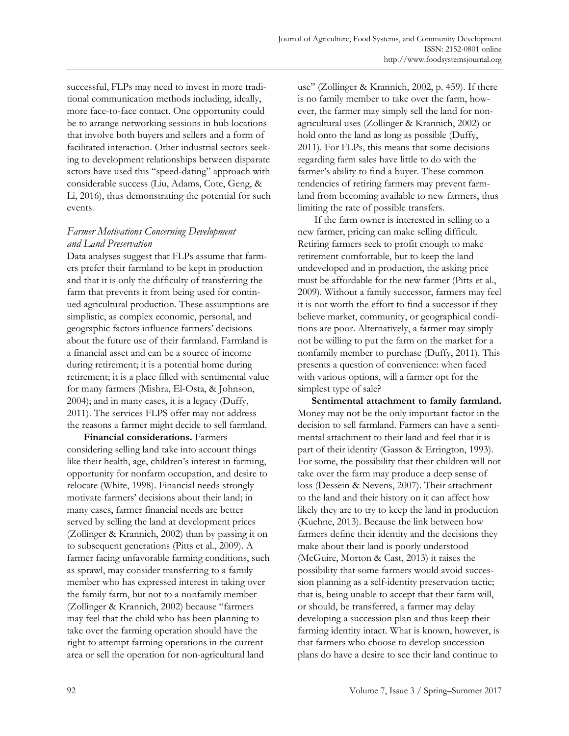successful, FLPs may need to invest in more traditional communication methods including, ideally, more face-to-face contact. One opportunity could be to arrange networking sessions in hub locations that involve both buyers and sellers and a form of facilitated interaction. Other industrial sectors seeking to development relationships between disparate actors have used this "speed-dating" approach with considerable success (Liu, Adams, Cote, Geng, & Li, 2016), thus demonstrating the potential for such events.

## *Farmer Motivations Concerning Development and Land Preservation*

Data analyses suggest that FLPs assume that farmers prefer their farmland to be kept in production and that it is only the difficulty of transferring the farm that prevents it from being used for continued agricultural production. These assumptions are simplistic, as complex economic, personal, and geographic factors influence farmers' decisions about the future use of their farmland. Farmland is a financial asset and can be a source of income during retirement; it is a potential home during retirement; it is a place filled with sentimental value for many farmers (Mishra, El-Osta, & Johnson, 2004); and in many cases, it is a legacy (Duffy, 2011). The services FLPS offer may not address the reasons a farmer might decide to sell farmland.

 **Financial considerations.** Farmers considering selling land take into account things like their health, age, children's interest in farming, opportunity for nonfarm occupation, and desire to relocate (White, 1998). Financial needs strongly motivate farmers' decisions about their land; in many cases, farmer financial needs are better served by selling the land at development prices (Zollinger & Krannich, 2002) than by passing it on to subsequent generations (Pitts et al., 2009). A farmer facing unfavorable farming conditions, such as sprawl, may consider transferring to a family member who has expressed interest in taking over the family farm, but not to a nonfamily member (Zollinger & Krannich, 2002) because "farmers may feel that the child who has been planning to take over the farming operation should have the right to attempt farming operations in the current area or sell the operation for non-agricultural land

use" (Zollinger & Krannich, 2002, p. 459). If there is no family member to take over the farm, however, the farmer may simply sell the land for nonagricultural uses (Zollinger & Krannich, 2002) or hold onto the land as long as possible (Duffy, 2011). For FLPs, this means that some decisions regarding farm sales have little to do with the farmer's ability to find a buyer. These common tendencies of retiring farmers may prevent farmland from becoming available to new farmers, thus limiting the rate of possible transfers.

 If the farm owner is interested in selling to a new farmer, pricing can make selling difficult. Retiring farmers seek to profit enough to make retirement comfortable, but to keep the land undeveloped and in production, the asking price must be affordable for the new farmer (Pitts et al., 2009). Without a family successor, farmers may feel it is not worth the effort to find a successor if they believe market, community, or geographical conditions are poor. Alternatively, a farmer may simply not be willing to put the farm on the market for a nonfamily member to purchase (Duffy, 2011). This presents a question of convenience: when faced with various options, will a farmer opt for the simplest type of sale?

 **Sentimental attachment to family farmland.** Money may not be the only important factor in the decision to sell farmland. Farmers can have a sentimental attachment to their land and feel that it is part of their identity (Gasson & Errington, 1993). For some, the possibility that their children will not take over the farm may produce a deep sense of loss (Dessein & Nevens, 2007). Their attachment to the land and their history on it can affect how likely they are to try to keep the land in production (Kuehne, 2013). Because the link between how farmers define their identity and the decisions they make about their land is poorly understood (McGuire, Morton & Cast, 2013) it raises the possibility that some farmers would avoid succession planning as a self-identity preservation tactic; that is, being unable to accept that their farm will, or should, be transferred, a farmer may delay developing a succession plan and thus keep their farming identity intact. What is known, however, is that farmers who choose to develop succession plans do have a desire to see their land continue to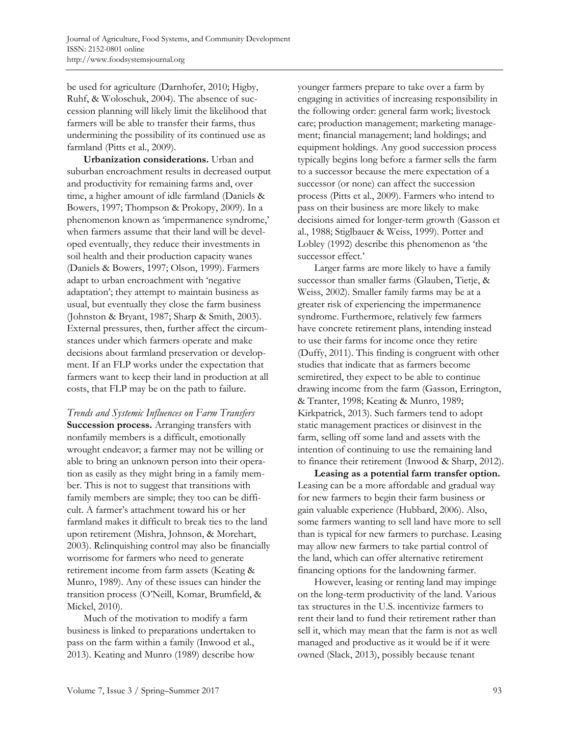be used for agriculture (Darnhofer, 2010; Higby, Ruhf, & Woloschuk, 2004). The absence of succession planning will likely limit the likelihood that farmers will be able to transfer their farms, thus undermining the possibility of its continued use as farmland (Pitts et al., 2009).

 **Urbanization considerations.** Urban and suburban encroachment results in decreased output and productivity for remaining farms and, over time, a higher amount of idle farmland (Daniels & Bowers, 1997; Thompson & Prokopy, 2009). In a phenomenon known as 'impermanence syndrome,' when farmers assume that their land will be developed eventually, they reduce their investments in soil health and their production capacity wanes (Daniels & Bowers, 1997; Olson, 1999). Farmers adapt to urban encroachment with 'negative adaptation'; they attempt to maintain business as usual, but eventually they close the farm business (Johnston & Bryant, 1987; Sharp & Smith, 2003). External pressures, then, further affect the circumstances under which farmers operate and make decisions about farmland preservation or development. If an FLP works under the expectation that farmers want to keep their land in production at all costs, that FLP may be on the path to failure.

*Trends and Systemic Influences on Farm Transfers*  **Succession process.** Arranging transfers with nonfamily members is a difficult, emotionally wrought endeavor; a farmer may not be willing or able to bring an unknown person into their operation as easily as they might bring in a family member. This is not to suggest that transitions with family members are simple; they too can be difficult. A farmer's attachment toward his or her farmland makes it difficult to break ties to the land upon retirement (Mishra, Johnson, & Morehart, 2003). Relinquishing control may also be financially worrisome for farmers who need to generate retirement income from farm assets (Keating & Munro, 1989). Any of these issues can hinder the transition process (O'Neill, Komar, Brumfield, & Mickel, 2010).

 Much of the motivation to modify a farm business is linked to preparations undertaken to pass on the farm within a family (Inwood et al., 2013). Keating and Munro (1989) describe how

younger farmers prepare to take over a farm by engaging in activities of increasing responsibility in the following order: general farm work; livestock care; production management; marketing management; financial management; land holdings; and equipment holdings. Any good succession process typically begins long before a farmer sells the farm to a successor because the mere expectation of a successor (or none) can affect the succession process (Pitts et al., 2009). Farmers who intend to pass on their business are more likely to make decisions aimed for longer-term growth (Gasson et al., 1988; Stiglbauer & Weiss, 1999). Potter and Lobley (1992) describe this phenomenon as 'the successor effect.'

 Larger farms are more likely to have a family successor than smaller farms (Glauben, Tietje, & Weiss, 2002). Smaller family farms may be at a greater risk of experiencing the impermanence syndrome. Furthermore, relatively few farmers have concrete retirement plans, intending instead to use their farms for income once they retire (Duffy, 2011). This finding is congruent with other studies that indicate that as farmers become semiretired, they expect to be able to continue drawing income from the farm (Gasson, Errington, & Tranter, 1998; Keating & Munro, 1989; Kirkpatrick, 2013). Such farmers tend to adopt static management practices or disinvest in the farm, selling off some land and assets with the intention of continuing to use the remaining land to finance their retirement (Inwood & Sharp, 2012).

 **Leasing as a potential farm transfer option.** Leasing can be a more affordable and gradual way for new farmers to begin their farm business or gain valuable experience (Hubbard, 2006). Also, some farmers wanting to sell land have more to sell than is typical for new farmers to purchase. Leasing may allow new farmers to take partial control of the land, which can offer alternative retirement financing options for the landowning farmer.

 However, leasing or renting land may impinge on the long-term productivity of the land. Various tax structures in the U.S. incentivize farmers to rent their land to fund their retirement rather than sell it, which may mean that the farm is not as well managed and productive as it would be if it were owned (Slack, 2013), possibly because tenant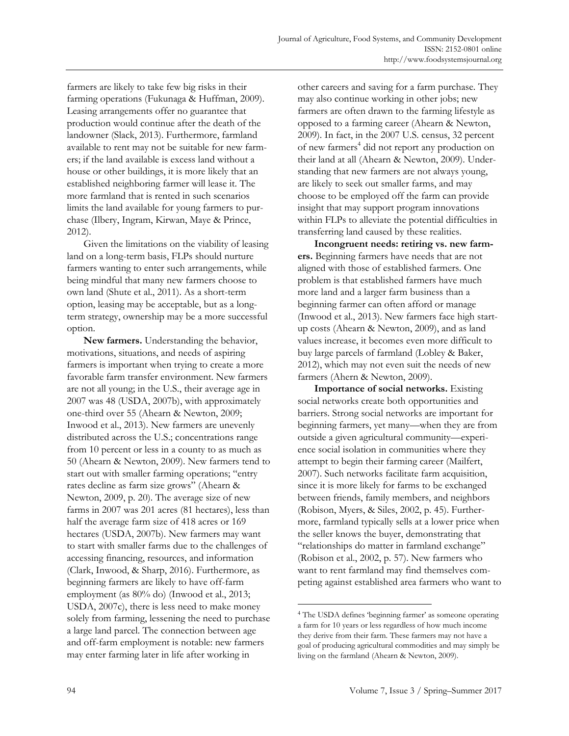farmers are likely to take few big risks in their farming operations (Fukunaga & Huffman, 2009). Leasing arrangements offer no guarantee that production would continue after the death of the landowner (Slack, 2013). Furthermore, farmland available to rent may not be suitable for new farmers; if the land available is excess land without a house or other buildings, it is more likely that an established neighboring farmer will lease it. The more farmland that is rented in such scenarios limits the land available for young farmers to purchase (Ilbery, Ingram, Kirwan, Maye & Prince, 2012).

 Given the limitations on the viability of leasing land on a long-term basis, FLPs should nurture farmers wanting to enter such arrangements, while being mindful that many new farmers choose to own land (Shute et al., 2011). As a short-term option, leasing may be acceptable, but as a longterm strategy, ownership may be a more successful option.

 **New farmers.** Understanding the behavior, motivations, situations, and needs of aspiring farmers is important when trying to create a more favorable farm transfer environment. New farmers are not all young; in the U.S., their average age in 2007 was 48 (USDA, 2007b), with approximately one-third over 55 (Ahearn & Newton, 2009; Inwood et al., 2013). New farmers are unevenly distributed across the U.S.; concentrations range from 10 percent or less in a county to as much as 50 (Ahearn & Newton, 2009). New farmers tend to start out with smaller farming operations; "entry rates decline as farm size grows" (Ahearn & Newton, 2009, p. 20). The average size of new farms in 2007 was 201 acres (81 hectares), less than half the average farm size of 418 acres or 169 hectares (USDA, 2007b). New farmers may want to start with smaller farms due to the challenges of accessing financing, resources, and information (Clark, Inwood, & Sharp, 2016). Furthermore, as beginning farmers are likely to have off-farm employment (as 80% do) (Inwood et al., 2013; USDA, 2007c), there is less need to make money solely from farming, lessening the need to purchase a large land parcel. The connection between age and off-farm employment is notable: new farmers may enter farming later in life after working in

other careers and saving for a farm purchase. They may also continue working in other jobs; new farmers are often drawn to the farming lifestyle as opposed to a farming career (Ahearn & Newton, 2009). In fact, in the 2007 U.S. census, 32 percent of new farmers<sup>4</sup> did not report any production on their land at all (Ahearn & Newton, 2009). Understanding that new farmers are not always young, are likely to seek out smaller farms, and may choose to be employed off the farm can provide insight that may support program innovations within FLPs to alleviate the potential difficulties in transferring land caused by these realities.

 **Incongruent needs: retiring vs. new farmers.** Beginning farmers have needs that are not aligned with those of established farmers. One problem is that established farmers have much more land and a larger farm business than a beginning farmer can often afford or manage (Inwood et al., 2013). New farmers face high startup costs (Ahearn & Newton, 2009), and as land values increase, it becomes even more difficult to buy large parcels of farmland (Lobley & Baker, 2012), which may not even suit the needs of new farmers (Ahern & Newton, 2009).

 **Importance of social networks.** Existing social networks create both opportunities and barriers. Strong social networks are important for beginning farmers, yet many—when they are from outside a given agricultural community—experience social isolation in communities where they attempt to begin their farming career (Mailfert, 2007). Such networks facilitate farm acquisition, since it is more likely for farms to be exchanged between friends, family members, and neighbors (Robison, Myers, & Siles, 2002, p. 45). Furthermore, farmland typically sells at a lower price when the seller knows the buyer, demonstrating that "relationships do matter in farmland exchange" (Robison et al., 2002, p. 57). New farmers who want to rent farmland may find themselves competing against established area farmers who want to

 $\overline{a}$ 

<sup>4</sup> The USDA defines 'beginning farmer' as someone operating a farm for 10 years or less regardless of how much income they derive from their farm. These farmers may not have a goal of producing agricultural commodities and may simply be living on the farmland (Ahearn & Newton, 2009).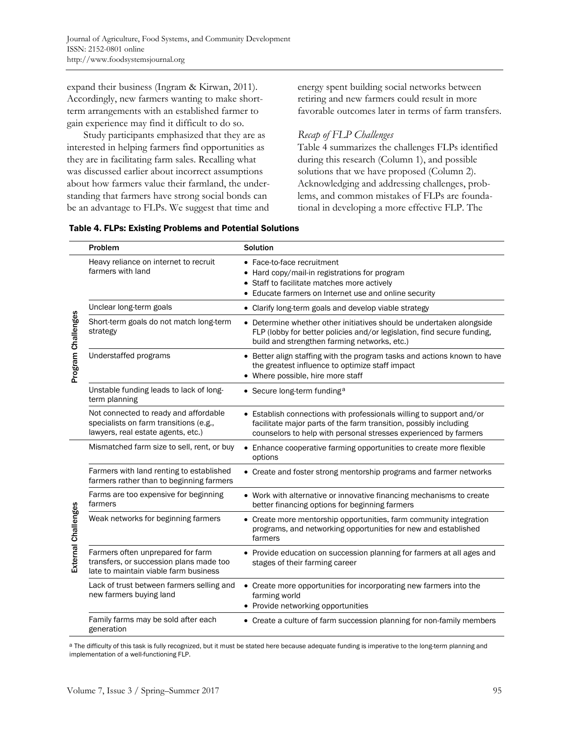expand their business (Ingram & Kirwan, 2011). Accordingly, new farmers wanting to make shortterm arrangements with an established farmer to gain experience may find it difficult to do so.

 Study participants emphasized that they are as interested in helping farmers find opportunities as they are in facilitating farm sales. Recalling what was discussed earlier about incorrect assumptions about how farmers value their farmland, the understanding that farmers have strong social bonds can be an advantage to FLPs. We suggest that time and

energy spent building social networks between retiring and new farmers could result in more favorable outcomes later in terms of farm transfers.

## *Recap of FLP Challenges*

Table 4 summarizes the challenges FLPs identified during this research (Column 1), and possible solutions that we have proposed (Column 2). Acknowledging and addressing challenges, problems, and common mistakes of FLPs are foundational in developing a more effective FLP. The

|  | <b>Table 4. FLPs: Existing Problems and Potential Solutions</b> |  |  |
|--|-----------------------------------------------------------------|--|--|
|--|-----------------------------------------------------------------|--|--|

|                     | Problem                                                                                                               | <b>Solution</b>                                                                                                                                                                                               |  |
|---------------------|-----------------------------------------------------------------------------------------------------------------------|---------------------------------------------------------------------------------------------------------------------------------------------------------------------------------------------------------------|--|
| Program Challenges  | Heavy reliance on internet to recruit<br>farmers with land                                                            | • Face-to-face recruitment<br>• Hard copy/mail-in registrations for program<br>• Staff to facilitate matches more actively<br>• Educate farmers on Internet use and online security                           |  |
|                     | Unclear long-term goals                                                                                               | • Clarify long-term goals and develop viable strategy                                                                                                                                                         |  |
|                     | Short-term goals do not match long-term<br>strategy                                                                   | • Determine whether other initiatives should be undertaken alongside<br>FLP (lobby for better policies and/or legislation, find secure funding,<br>build and strengthen farming networks, etc.)               |  |
|                     | Understaffed programs                                                                                                 | • Better align staffing with the program tasks and actions known to have<br>the greatest influence to optimize staff impact<br>• Where possible, hire more staff                                              |  |
|                     | Unstable funding leads to lack of long-<br>term planning                                                              | • Secure long-term funding <sup>a</sup>                                                                                                                                                                       |  |
|                     | Not connected to ready and affordable<br>specialists on farm transitions (e.g.,<br>lawyers, real estate agents, etc.) | • Establish connections with professionals willing to support and/or<br>facilitate major parts of the farm transition, possibly including<br>counselors to help with personal stresses experienced by farmers |  |
| External Challenges | Mismatched farm size to sell, rent, or buy                                                                            | Enhance cooperative farming opportunities to create more flexible<br>$\bullet$<br>options                                                                                                                     |  |
|                     | Farmers with land renting to established<br>farmers rather than to beginning farmers                                  | • Create and foster strong mentorship programs and farmer networks                                                                                                                                            |  |
|                     | Farms are too expensive for beginning<br>farmers                                                                      | • Work with alternative or innovative financing mechanisms to create<br>better financing options for beginning farmers                                                                                        |  |
|                     | Weak networks for beginning farmers                                                                                   | • Create more mentorship opportunities, farm community integration<br>programs, and networking opportunities for new and established<br>farmers                                                               |  |
|                     | Farmers often unprepared for farm<br>transfers, or succession plans made too<br>late to maintain viable farm business | • Provide education on succession planning for farmers at all ages and<br>stages of their farming career                                                                                                      |  |
|                     | Lack of trust between farmers selling and<br>new farmers buying land                                                  | • Create more opportunities for incorporating new farmers into the<br>farming world<br>• Provide networking opportunities                                                                                     |  |
|                     | Family farms may be sold after each<br>generation                                                                     | • Create a culture of farm succession planning for non-family members                                                                                                                                         |  |

a The difficulty of this task is fully recognized, but it must be stated here because adequate funding is imperative to the long-term planning and implementation of a well-functioning FLP.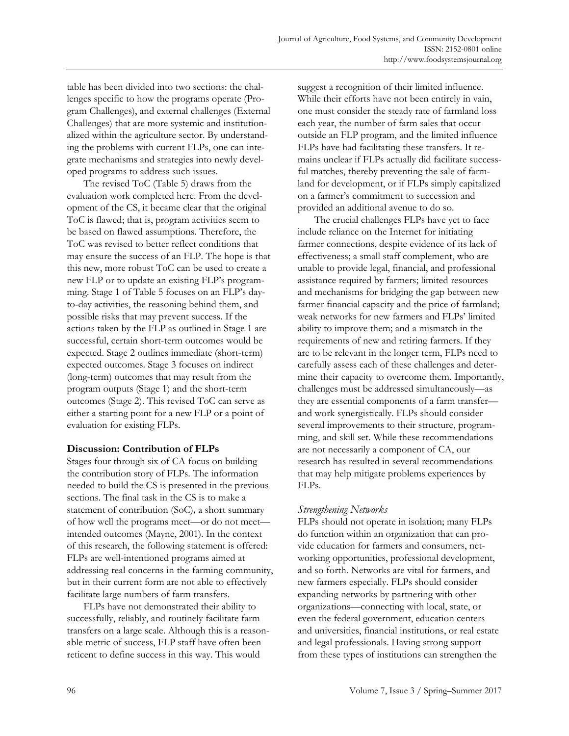table has been divided into two sections: the challenges specific to how the programs operate (Program Challenges), and external challenges (External Challenges) that are more systemic and institutionalized within the agriculture sector. By understanding the problems with current FLPs, one can integrate mechanisms and strategies into newly developed programs to address such issues.

 The revised ToC (Table 5) draws from the evaluation work completed here. From the development of the CS, it became clear that the original ToC is flawed; that is, program activities seem to be based on flawed assumptions. Therefore, the ToC was revised to better reflect conditions that may ensure the success of an FLP. The hope is that this new, more robust ToC can be used to create a new FLP or to update an existing FLP's programming. Stage 1 of Table 5 focuses on an FLP's dayto-day activities, the reasoning behind them, and possible risks that may prevent success. If the actions taken by the FLP as outlined in Stage 1 are successful, certain short-term outcomes would be expected. Stage 2 outlines immediate (short-term) expected outcomes. Stage 3 focuses on indirect (long-term) outcomes that may result from the program outputs (Stage 1) and the short-term outcomes (Stage 2). This revised ToC can serve as either a starting point for a new FLP or a point of evaluation for existing FLPs.

### **Discussion: Contribution of FLPs**

Stages four through six of CA focus on building the contribution story of FLPs. The information needed to build the CS is presented in the previous sections. The final task in the CS is to make a statement of contribution (SoC)*,* a short summary of how well the programs meet—or do not meet intended outcomes (Mayne, 2001). In the context of this research, the following statement is offered: FLPs are well-intentioned programs aimed at addressing real concerns in the farming community, but in their current form are not able to effectively facilitate large numbers of farm transfers.

 FLPs have not demonstrated their ability to successfully, reliably, and routinely facilitate farm transfers on a large scale. Although this is a reasonable metric of success, FLP staff have often been reticent to define success in this way. This would

suggest a recognition of their limited influence. While their efforts have not been entirely in vain, one must consider the steady rate of farmland loss each year, the number of farm sales that occur outside an FLP program, and the limited influence FLPs have had facilitating these transfers. It remains unclear if FLPs actually did facilitate successful matches, thereby preventing the sale of farmland for development, or if FLPs simply capitalized on a farmer's commitment to succession and provided an additional avenue to do so.

 The crucial challenges FLPs have yet to face include reliance on the Internet for initiating farmer connections, despite evidence of its lack of effectiveness; a small staff complement, who are unable to provide legal, financial, and professional assistance required by farmers; limited resources and mechanisms for bridging the gap between new farmer financial capacity and the price of farmland; weak networks for new farmers and FLPs' limited ability to improve them; and a mismatch in the requirements of new and retiring farmers. If they are to be relevant in the longer term, FLPs need to carefully assess each of these challenges and determine their capacity to overcome them. Importantly, challenges must be addressed simultaneously—as they are essential components of a farm transfer and work synergistically. FLPs should consider several improvements to their structure, programming, and skill set. While these recommendations are not necessarily a component of CA, our research has resulted in several recommendations that may help mitigate problems experiences by FLPs.

### *Strengthening Networks*

FLPs should not operate in isolation; many FLPs do function within an organization that can provide education for farmers and consumers, networking opportunities, professional development, and so forth. Networks are vital for farmers, and new farmers especially. FLPs should consider expanding networks by partnering with other organizations—connecting with local, state, or even the federal government, education centers and universities, financial institutions, or real estate and legal professionals. Having strong support from these types of institutions can strengthen the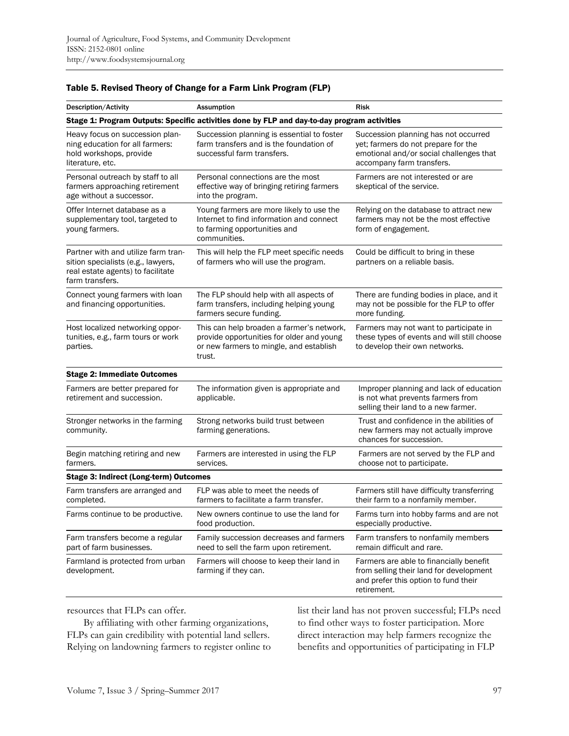| Description/Activity                                                                                                              | <b>Assumption</b>                                                                                                                           | Risk                                                                                                                                                |
|-----------------------------------------------------------------------------------------------------------------------------------|---------------------------------------------------------------------------------------------------------------------------------------------|-----------------------------------------------------------------------------------------------------------------------------------------------------|
|                                                                                                                                   | Stage 1: Program Outputs: Specific activities done by FLP and day-to-day program activities                                                 |                                                                                                                                                     |
| Heavy focus on succession plan-<br>ning education for all farmers:<br>hold workshops, provide<br>literature, etc.                 | Succession planning is essential to foster<br>farm transfers and is the foundation of<br>successful farm transfers.                         | Succession planning has not occurred<br>yet; farmers do not prepare for the<br>emotional and/or social challenges that<br>accompany farm transfers. |
| Personal outreach by staff to all<br>farmers approaching retirement<br>age without a successor.                                   | Personal connections are the most<br>effective way of bringing retiring farmers<br>into the program.                                        | Farmers are not interested or are<br>skeptical of the service.                                                                                      |
| Offer Internet database as a<br>supplementary tool, targeted to<br>young farmers.                                                 | Young farmers are more likely to use the<br>Internet to find information and connect<br>to farming opportunities and<br>communities.        | Relying on the database to attract new<br>farmers may not be the most effective<br>form of engagement.                                              |
| Partner with and utilize farm tran-<br>sition specialists (e.g., lawyers,<br>real estate agents) to facilitate<br>farm transfers. | This will help the FLP meet specific needs<br>of farmers who will use the program.                                                          | Could be difficult to bring in these<br>partners on a reliable basis.                                                                               |
| Connect young farmers with loan<br>and financing opportunities.                                                                   | The FLP should help with all aspects of<br>farm transfers, including helping young<br>farmers secure funding.                               | There are funding bodies in place, and it<br>may not be possible for the FLP to offer<br>more funding.                                              |
| Host localized networking oppor-<br>tunities, e.g., farm tours or work<br>parties.                                                | This can help broaden a farmer's network,<br>provide opportunities for older and young<br>or new farmers to mingle, and establish<br>trust. | Farmers may not want to participate in<br>these types of events and will still choose<br>to develop their own networks.                             |
| <b>Stage 2: Immediate Outcomes</b>                                                                                                |                                                                                                                                             |                                                                                                                                                     |
| Farmers are better prepared for<br>retirement and succession.                                                                     | The information given is appropriate and<br>applicable.                                                                                     | Improper planning and lack of education<br>is not what prevents farmers from<br>selling their land to a new farmer.                                 |
| Stronger networks in the farming<br>community.                                                                                    | Strong networks build trust between<br>farming generations.                                                                                 | Trust and confidence in the abilities of<br>new farmers may not actually improve<br>chances for succession.                                         |
| Begin matching retiring and new<br>farmers.                                                                                       | Farmers are interested in using the FLP<br>services.                                                                                        | Farmers are not served by the FLP and<br>choose not to participate.                                                                                 |
| Stage 3: Indirect (Long-term) Outcomes                                                                                            |                                                                                                                                             |                                                                                                                                                     |
| Farm transfers are arranged and<br>completed.                                                                                     | FLP was able to meet the needs of<br>farmers to facilitate a farm transfer.                                                                 | Farmers still have difficulty transferring<br>their farm to a nonfamily member.                                                                     |
| Farms continue to be productive.                                                                                                  | New owners continue to use the land for<br>food production.                                                                                 | Farms turn into hobby farms and are not<br>especially productive.                                                                                   |
| Farm transfers become a regular<br>part of farm businesses.                                                                       | Family succession decreases and farmers<br>need to sell the farm upon retirement.                                                           | Farm transfers to nonfamily members<br>remain difficult and rare.                                                                                   |
| Farmland is protected from urban<br>development.                                                                                  | Farmers will choose to keep their land in<br>farming if they can.                                                                           | Farmers are able to financially benefit<br>from selling their land for development<br>and prefer this option to fund their<br>retirement.           |

#### Table 5. Revised Theory of Change for a Farm Link Program (FLP)

resources that FLPs can offer.

 By affiliating with other farming organizations, FLPs can gain credibility with potential land sellers. Relying on landowning farmers to register online to

list their land has not proven successful; FLPs need to find other ways to foster participation. More direct interaction may help farmers recognize the benefits and opportunities of participating in FLP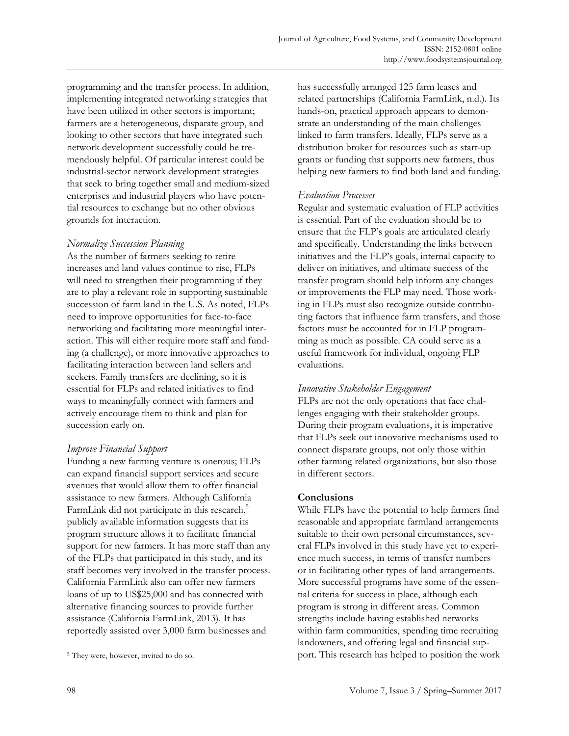programming and the transfer process. In addition, implementing integrated networking strategies that have been utilized in other sectors is important; farmers are a heterogeneous, disparate group, and looking to other sectors that have integrated such network development successfully could be tremendously helpful. Of particular interest could be industrial-sector network development strategies that seek to bring together small and medium-sized enterprises and industrial players who have potential resources to exchange but no other obvious grounds for interaction.

# *Normalize Succession Planning*

As the number of farmers seeking to retire increases and land values continue to rise, FLPs will need to strengthen their programming if they are to play a relevant role in supporting sustainable succession of farm land in the U.S. As noted, FLPs need to improve opportunities for face-to-face networking and facilitating more meaningful interaction. This will either require more staff and funding (a challenge), or more innovative approaches to facilitating interaction between land sellers and seekers. Family transfers are declining, so it is essential for FLPs and related initiatives to find ways to meaningfully connect with farmers and actively encourage them to think and plan for succession early on.

# *Improve Financial Support*

Funding a new farming venture is onerous; FLPs can expand financial support services and secure avenues that would allow them to offer financial assistance to new farmers. Although California FarmLink did not participate in this research,<sup>5</sup> publicly available information suggests that its program structure allows it to facilitate financial support for new farmers. It has more staff than any of the FLPs that participated in this study, and its staff becomes very involved in the transfer process. California FarmLink also can offer new farmers loans of up to US\$25,000 and has connected with alternative financing sources to provide further assistance (California FarmLink, 2013). It has reportedly assisted over 3,000 farm businesses and

has successfully arranged 125 farm leases and related partnerships (California FarmLink, n.d.). Its hands-on, practical approach appears to demonstrate an understanding of the main challenges linked to farm transfers. Ideally, FLPs serve as a distribution broker for resources such as start-up grants or funding that supports new farmers, thus helping new farmers to find both land and funding.

### *Evaluation Processes*

Regular and systematic evaluation of FLP activities is essential. Part of the evaluation should be to ensure that the FLP's goals are articulated clearly and specifically. Understanding the links between initiatives and the FLP's goals, internal capacity to deliver on initiatives, and ultimate success of the transfer program should help inform any changes or improvements the FLP may need. Those working in FLPs must also recognize outside contributing factors that influence farm transfers, and those factors must be accounted for in FLP programming as much as possible. CA could serve as a useful framework for individual, ongoing FLP evaluations.

### *Innovative Stakeholder Engagement*

FLPs are not the only operations that face challenges engaging with their stakeholder groups. During their program evaluations, it is imperative that FLPs seek out innovative mechanisms used to connect disparate groups, not only those within other farming related organizations, but also those in different sectors.

# **Conclusions**

While FLPs have the potential to help farmers find reasonable and appropriate farmland arrangements suitable to their own personal circumstances, several FLPs involved in this study have yet to experience much success, in terms of transfer numbers or in facilitating other types of land arrangements. More successful programs have some of the essential criteria for success in place, although each program is strong in different areas. Common strengths include having established networks within farm communities, spending time recruiting landowners, and offering legal and financial support. This research has helped to position the work

 $\overline{a}$ 

<sup>5</sup> They were, however, invited to do so.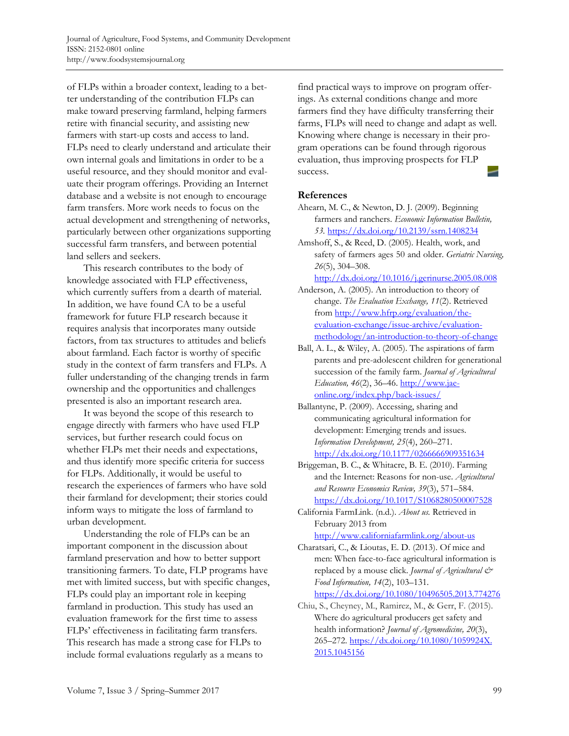of FLPs within a broader context, leading to a better understanding of the contribution FLPs can make toward preserving farmland, helping farmers retire with financial security, and assisting new farmers with start-up costs and access to land. FLPs need to clearly understand and articulate their own internal goals and limitations in order to be a useful resource, and they should monitor and evaluate their program offerings. Providing an Internet database and a website is not enough to encourage farm transfers. More work needs to focus on the actual development and strengthening of networks, particularly between other organizations supporting successful farm transfers, and between potential land sellers and seekers.

 This research contributes to the body of knowledge associated with FLP effectiveness, which currently suffers from a dearth of material. In addition, we have found CA to be a useful framework for future FLP research because it requires analysis that incorporates many outside factors, from tax structures to attitudes and beliefs about farmland. Each factor is worthy of specific study in the context of farm transfers and FLPs. A fuller understanding of the changing trends in farm ownership and the opportunities and challenges presented is also an important research area.

 It was beyond the scope of this research to engage directly with farmers who have used FLP services, but further research could focus on whether FLPs met their needs and expectations, and thus identify more specific criteria for success for FLPs. Additionally, it would be useful to research the experiences of farmers who have sold their farmland for development; their stories could inform ways to mitigate the loss of farmland to urban development.

 Understanding the role of FLPs can be an important component in the discussion about farmland preservation and how to better support transitioning farmers. To date, FLP programs have met with limited success, but with specific changes, FLPs could play an important role in keeping farmland in production. This study has used an evaluation framework for the first time to assess FLPs' effectiveness in facilitating farm transfers. This research has made a strong case for FLPs to include formal evaluations regularly as a means to

find practical ways to improve on program offerings. As external conditions change and more farmers find they have difficulty transferring their farms, FLPs will need to change and adapt as well. Knowing where change is necessary in their program operations can be found through rigorous evaluation, thus improving prospects for FLP success.

### **References**

- Ahearn, M. C., & Newton, D. J. (2009). Beginning farmers and ranchers. *Economic Information Bulletin, 53.* https://dx.doi.org/10.2139/ssrn.1408234
- Amshoff, S., & Reed, D. (2005). Health, work, and safety of farmers ages 50 and older. *Geriatric Nursing, 26*(5), 304–308.

http://dx.doi.org/10.1016/j.gerinurse.2005.08.008

- Anderson, A. (2005). An introduction to theory of change. *The Evaluation Exchange, 11*(2). Retrieved from http://www.hfrp.org/evaluation/theevaluation-exchange/issue-archive/evaluationmethodology/an-introduction-to-theory-of-change
- Ball, A. L., & Wiley, A. (2005). The aspirations of farm parents and pre-adolescent children for generational succession of the family farm. *Journal of Agricultural Education, 46*(2), 36–46. http://www.jaeonline.org/index.php/back-issues/
- Ballantyne, P. (2009). Accessing, sharing and communicating agricultural information for development: Emerging trends and issues. *Information Development, 25*(4), 260–271. http://dx.doi.org/10.1177/0266666909351634
- Briggeman, B. C., & Whitacre, B. E. (2010). Farming and the Internet: Reasons for non-use. *Agricultural and Resource Economics Review, 39*(3), 571–584. https://dx.doi.org/10.1017/S1068280500007528
- California FarmLink. (n.d.). *About us.* Retrieved in February 2013 from http://www.californiafarmlink.org/about-us

Charatsari, C., & Lioutas, E. D. (2013). Of mice and men: When face-to-face agricultural information is replaced by a mouse click. *Journal of Agricultural & Food Information, 14*(2), 103–131. https://dx.doi.org/10.1080/10496505.2013.774276

Chiu, S., Cheyney, M., Ramirez, M., & Gerr, F. (2015). Where do agricultural producers get safety and health information? *Journal of Agromedicine, 20*(3), [265–272. https://dx.doi.org/10.1080/1059924X.](https://dx.doi.org/10.1080/1059924X.2015.1045156)  2015.1045156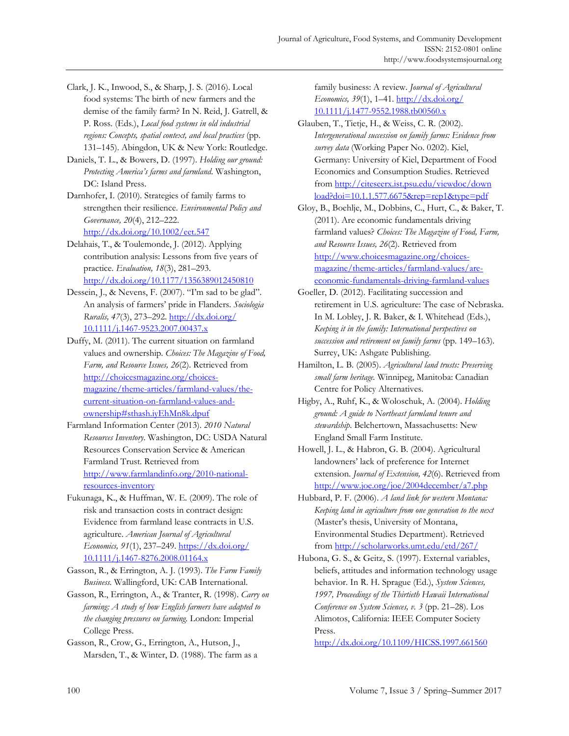- Clark, J. K., Inwood, S., & Sharp, J. S. (2016). Local food systems: The birth of new farmers and the demise of the family farm? In N. Reid, J. Gatrell, & P. Ross. (Eds.), *Local food systems in old industrial regions: Concepts, spatial context, and local practices* (pp. 131–145). Abingdon, UK & New York: Routledge.
- Daniels, T. L., & Bowers, D. (1997). *Holding our ground: Protecting America's farms and farmland*. Washington, DC: Island Press.
- Darnhofer, I. (2010). Strategies of family farms to strengthen their resilience. *Environmental Policy and Governance, 20*(4), 212–222. http://dx.doi.org/10.1002/eet.547
- Delahais, T., & Toulemonde, J. (2012). Applying contribution analysis: Lessons from five years of practice. *Evaluation, 18*(3), 281–293. http://dx.doi.org/10.1177/1356389012450810
- Dessein, J., & Nevens, F. (2007). "I'm sad to be glad". An analysis of farmers' pride in Flanders. *Sociologia Ruralis, 47*(3), 273–292. http://dx.doi.org/ [10.1111/j.1467-9523.2007.00437.x](http://dx.doi.org/10.1111/j.1467-9523.2007.00437.x)
- Duffy, M. (2011). The current situation on farmland values and ownership. *Choices: The Magazine of Food, Farm, and Resource Issues, 26*(2). Retrieved from http://choicesmagazine.org/choices[magazine/theme-articles/farmland-values/the](http://choicesmagazine.org/choices-magazine/theme-articles/farmland-values/the-current-situation-on-farmland-values-and-ownership#sthash.iyEhMn8k.dpuf)current-situation-on-farmland-values-andownership#sthash.iyEhMn8k.dpuf
- Farmland Information Center (2013). *2010 Natural Resources Inventory*. Washington, DC: USDA Natural Resources Conservation Service & American Farmland Trust. Retrieved from http://www.farmlandinfo.org/2010-nationalresources-inventory
- Fukunaga, K., & Huffman, W. E. (2009). The role of risk and transaction costs in contract design: Evidence from farmland lease contracts in U.S. agriculture. *American Journal of Agricultural Economics, 91*(1), 237–249. https://dx.doi.org/ [10.1111/j.1467-8276.2008.01164.x](https://dx.doi.org/10.1111/j.1467-8276.2008.01164.x)
- Gasson, R., & Errington, A. J. (1993). *The Farm Family Business.* Wallingford, UK: CAB International.
- Gasson, R., Errington, A., & Tranter, R. (1998). *Carry on farming: A study of how English farmers have adapted to the changing pressures on farming.* London: Imperial College Press.
- Gasson, R., Crow, G., Errington, A., Hutson, J., Marsden, T., & Winter, D. (1988). The farm as a

family business: A review. *Journal of Agricultural Economics, 39*(1), 1–41. http://dx.doi.org/ [10.1111/j.1477-9552.1988.tb00560.x](http://dx.doi.org/10.1111/j.1477-9552.1988.tb00560.x) 

- Glauben, T., Tietje, H., & Weiss, C. R. (2002). *Intergenerational succession on family farms: Evidence from survey data* (Working Paper No. 0202). Kiel, Germany: University of Kiel, Department of Food Economics and Consumption Studies. Retrieved [from http://citeseerx.ist.psu.edu/viewdoc/down](http://citeseerx.ist.psu.edu/viewdoc/download?doi=10.1.1.577.6675&rep=rep1&type=pdf)  load?doi=10.1.1.577.6675&rep=rep1&type=pdf
- Gloy, B., Boehlje, M., Dobbins, C., Hurt, C., & Baker, T. (2011). Are economic fundamentals driving farmland values? *Choices: The Magazine of Food, Farm, and Resource Issues, 26*(2)*.* Retrieved from http://www.choicesmagazine.org/choicesmagazine/theme-articles/farmland-values/areeconomic-fundamentals-driving-farmland-values
- Goeller, D. (2012). Facilitating succession and retirement in U.S. agriculture: The case of Nebraska. In M. Lobley, J. R. Baker, & I. Whitehead (Eds.), *Keeping it in the family: International perspectives on succession and retirement on family farms* (pp. 149–163)*.* Surrey, UK: Ashgate Publishing.
- Hamilton, L. B. (2005). *Agricultural land trusts: Preserving small farm heritage.* Winnipeg, Manitoba: Canadian Centre for Policy Alternatives.
- Higby, A., Ruhf, K., & Woloschuk, A. (2004). *Holding ground: A guide to Northeast farmland tenure and stewardship*. Belchertown, Massachusetts: New England Small Farm Institute.
- Howell, J. L., & Habron, G. B. (2004). Agricultural landowners' lack of preference for Internet extension. *Journal of Extension, 42*(6). Retrieved from http://www.joe.org/joe/2004december/a7.php
- Hubbard, P. F. (2006). *A land link for western Montana: Keeping land in agriculture from one generation to the next* (Master's thesis, University of Montana, Environmental Studies Department). Retrieved from http://scholarworks.umt.edu/etd/267/
- Hubona, G. S., & Geitz, S. (1997). External variables, beliefs, attitudes and information technology usage behavior. In R. H. Sprague (Ed.), *System Sciences, 1997, Proceedings of the Thirtieth Hawaii International Conference on System Sciences, v. 3* (pp. 21–28). Los Alimotos, California: IEEE Computer Society Press.

http://dx.doi.org/10.1109/HICSS.1997.661560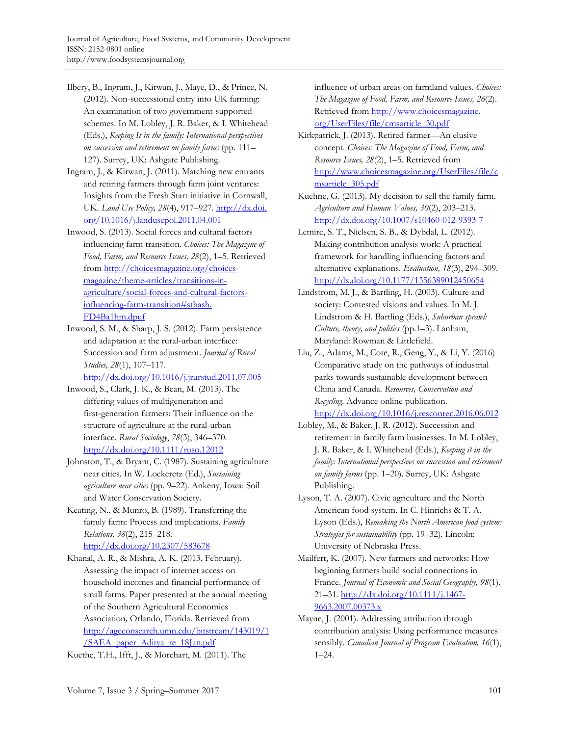- Ilbery, B., Ingram, J., Kirwan, J., Maye, D., & Prince, N. (2012). Non-successional entry into UK farming: An examination of two government-supported schemes. In M. Lobley, J. R. Baker, & I. Whitehead (Eds.), *Keeping It in the family: International perspectives on succession and retirement on family farms* (pp. 111– 127). Surrey, UK: Ashgate Publishing.
- Ingram, J., & Kirwan, J. (2011). Matching new entrants and retiring farmers through farm joint ventures: Insights from the Fresh Start initiative in Cornwall, UK. *Land Use Policy, 28*(4), 917–927. http://dx.doi. [org/10.1016/j.landusepol.2011.04.001](http://dx.doi.org/10.1016/j.landusepol.2011.04.001)
- Inwood, S. (2013). Social forces and cultural factors influencing farm transition. *Choices: The Magazine of Food, Farm, and Resource Issues, 28*(2), 1–5. Retrieved from http://choicesmagazine.org/choicesmagazine/theme-articles/transitions-in[agriculture/social-forces-and-cultural-factors](http://choicesmagazine.org/choices-magazine/theme-articles/transitions-in-agriculture/social-forces-and-cultural-factors-influencing-farm-transition#sthash.FD4Ba1hm.dpuf)influencing-farm-transition#sthash. FD4Ba1hm.dpuf
- Inwood, S. M., & Sharp, J. S. (2012). Farm persistence and adaptation at the rural-urban interface: Succession and farm adjustment. *Journal of Rural Studies, 28*(1), 107–117.

http://dx.doi.org/10.1016/j.jrurstud.2011.07.005

- Inwood, S., Clark, J. K., & Bean, M. (2013). The differing values of multigeneration and first‐generation farmers: Their influence on the structure of agriculture at the rural-urban interface. *Rural Sociology*, *78*(3), 346–370. http://dx.doi.org/10.1111/ruso.12012
- Johnston, T., & Bryant, C. (1987). Sustaining agriculture near cities. In W. Lockeretz (Ed.), *Sustaining agriculture near cities* (pp. 9–22)*.* Ankeny, Iowa: Soil and Water Conservation Society.
- Keating, N., & Munro, B. (1989). Transferring the family farm: Process and implications. *Family Relations, 38*(2), 215–218. http://dx.doi.org/10.2307/583678
- Khanal, A. R., & Mishra, A. K. (2013, February). Assessing the impact of internet access on household incomes and financial performance of small farms. Paper presented at the annual meeting of the Southern Agricultural Economics Association*,* Orlando, Florida. Retrieved from [http://ageconsearch.umn.edu/bitstream/143019/1](http://ageconsearch.umn.edu/bitstream/143019/1/SAEA_paper_Aditya_re_18Jan.pdf) /SAEA\_paper\_Aditya\_re\_18Jan.pdf

Kuethe, T.H., Ifft, J., & Morehart, M. (2011). The

influence of urban areas on farmland values. *Choices: The Magazine of Food, Farm, and Resource Issues, 26*(2). [Retrieved from http://www.choicesmagazine.](http://www.choicesmagazine.org/UserFiles/file/cmsarticle_30.pdf) org/UserFiles/file/cmsarticle\_30.pdf

- Kirkpatrick, J. (2013). Retired farmer—An elusive concept. *Choices: The Magazine of Food, Farm, and Resource Issues, 28*(2), 1–5. Retrieved from [http://www.choicesmagazine.org/UserFiles/file/c](http://www.choicesmagazine.org/UserFiles/file/cmsarticle_305.pdf) msarticle\_305.pdf
- Kuehne, G. (2013). My decision to sell the family farm. *Agriculture and Human Values, 30*(2), 203–213. http://dx.doi.org/10.1007/s10460-012-9393-7
- Lemire, S. T., Nielsen, S. B., & Dybdal, L. (2012). Making contribution analysis work: A practical framework for handling influencing factors and alternative explanations. *Evaluation, 18*(3), 294–309. http://dx.doi.org/10.1177/1356389012450654
- Lindstrom, M. J., & Bartling, H. (2003). Culture and society: Contested visions and values. In M. J. Lindstrom & H. Bartling (Eds.), *Suburban sprawl: Culture, theory, and politics* (pp.1–3). Lanham, Maryland: Rowman & Littlefield.
- Liu, Z., Adams, M., Cote, R., Geng, Y., & Li, Y. (2016) Comparative study on the pathways of industrial parks towards sustainable development between China and Canada. *Resources, Conservation and Recycling.* Advance online publication. http://dx.doi.org/10.1016/j.resconrec.2016.06.012
- Lobley, M., & Baker, J. R. (2012). Succession and retirement in family farm businesses. In M. Lobley, J. R. Baker, & I. Whitehead (Eds.), *Keeping it in the family: International perspectives on succession and retirement on family farms* (pp. 1–20)*.* Surrey, UK: Ashgate Publishing.
- Lyson, T. A. (2007). Civic agriculture and the North American food system. In C. Hinrichs & T. A. Lyson (Eds.), *Remaking the North American food system: Strategies for sustainability* (pp. 19–32)*.* Lincoln: University of Nebraska Press.
- Mailfert, K. (2007). New farmers and networks: How beginning farmers build social connections in France. *Journal of Economic and Social Geography, 98*(1), 21–31. http://dx.doi.org/10.1111/j.1467- 9663.2007.00373.x
- Mayne, J. (2001). Addressing attribution through contribution analysis: Using performance measures sensibly. *Canadian Journal of Program Evaluation, 16*(1), 1–24.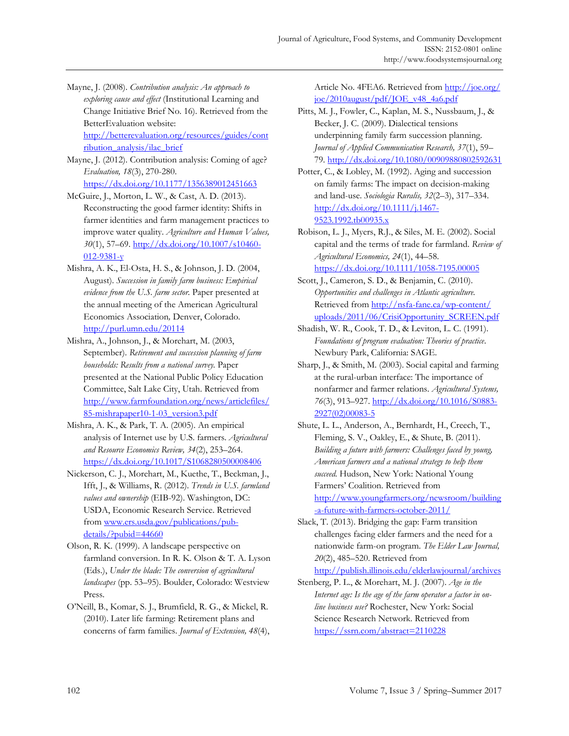Mayne, J. (2008). *Contribution analysis: An approach to exploring cause and effect* (Institutional Learning and Change Initiative Brief No. 16). Retrieved from the BetterEvaluation website: [http://betterevaluation.org/resources/guides/cont](http://betterevaluation.org/resources/guides/contribution_analysis/ilac_brief)

ribution\_analysis/ilac\_brief

Mayne, J. (2012). Contribution analysis: Coming of age? *Evaluation, 18*(3), 270-280.

https://dx.doi.org/10.1177/1356389012451663 McGuire, J., Morton, L. W., & Cast, A. D. (2013).

- Reconstructing the good farmer identity: Shifts in farmer identities and farm management practices to improve water quality. *Agriculture and Human Values, 30*(1), 57–69. http://dx.doi.org/10.1007/s10460-  $012 - 9381 - y$
- Mishra, A. K., El-Osta, H. S., & Johnson, J. D. (2004, August). *Succession in family farm business: Empirical evidence from the U.S. farm sector.* Paper presented at the annual meeting of the American Agricultural Economics Association*,* Denver, Colorado. http://purl.umn.edu/20114
- Mishra, A., Johnson, J., & Morehart, M. (2003, September). *Retirement and succession planning of farm households: Results from a national survey.* Paper presented at the National Public Policy Education Committee, Salt Lake City, Utah. Retrieved from [http://www.farmfoundation.org/news/articlefiles/](http://www.farmfoundation.org/news/articlefiles/85-mishrapaper10-1-03_version3.pdf) 85-mishrapaper10-1-03\_version3.pdf
- Mishra, A. K., & Park, T. A. (2005). An empirical analysis of Internet use by U.S. farmers. *Agricultural and Resource Economics Review, 34*(2), 253–264. https://dx.doi.org/10.1017/S1068280500008406
- Nickerson, C. J., Morehart, M., Kuethe, T., Beckman, J., Ifft, J., & Williams, R. (2012). *Trends in U.S. farmland values and ownership* (EIB-92). Washington, DC: USDA, Economic Research Service. Retrieved from www.ers.usda.gov/publications/pubdetails/?pubid=44660
- Olson, R. K. (1999). A landscape perspective on farmland conversion. In R. K. Olson & T. A. Lyson (Eds.), *Under the blade: The conversion of agricultural landscapes* (pp. 53–95). Boulder, Colorado: Westview Press.
- O'Neill, B., Komar, S. J., Brumfield, R. G., & Mickel, R. (2010). Later life farming: Retirement plans and concerns of farm families. *Journal of Extension, 48*(4),

Article No. 4FEA6. Retrieved from http://joe.org/ joe/2010august/pdf/JOE\_v48\_4a6.pdf

- Pitts, M. J., Fowler, C., Kaplan, M. S., Nussbaum, J., & Becker, J. C. (2009). Dialectical tensions underpinning family farm succession planning. *Journal of Applied Communication Research, 37*(1), 59– 79. http://dx.doi.org/10.1080/00909880802592631
- Potter, C., & Lobley, M. (1992). Aging and succession on family farms: The impact on decision-making and land-use. *Sociologia Ruralis, 32*(2–3), 317–334. http://dx.doi.org/10.1111/j.1467- 9523.1992.tb00935.x
- Robison, L. J., Myers, R.J., & Siles, M. E. (2002). Social capital and the terms of trade for farmland. *Review of Agricultural Economics, 24*(1), 44–58. https://dx.doi.org/10.1111/1058-7195.00005
- Scott, J., Cameron, S. D., & Benjamin, C. (2010). *Opportunities and challenges in Atlantic agriculture.*  Retrieved from http://nsfa-fane.ca/wp-content/ [uploads/2011/06/CrisiOpportunity\\_SCREEN.pdf](http://nsfa-fane.ca/wp-content/uploads/2011/06/CrisiOpportunity_SCREEN.pdf)
- Shadish, W. R., Cook, T. D., & Leviton, L. C. (1991). *Foundations of program evaluation: Theories of practice*. Newbury Park, California: SAGE.
- Sharp, J., & Smith, M. (2003). Social capital and farming at the rural-urban interface: The importance of nonfarmer and farmer relations. *Agricultural Systems, 76*[\(3\), 913–927. http://dx.doi.org/10.1016/S0883-](http://dx.doi.org/10.1016/S0883-2927(02)00083-5) 2927(02)00083-5
- Shute, L. L., Anderson, A., Bernhardt, H., Creech, T., Fleming, S. V., Oakley, E., & Shute, B. (2011). *Building a future with farmers: Challenges faced by young, American farmers and a national strategy to help them succeed.* Hudson, New York: National Young Farmers' Coalition. Retrieved from [http://www.youngfarmers.org/newsroom/building](http://www.youngfarmers.org/newsroom/building-a-future-with-farmers-october-2011/) -a-future-with-farmers-october-2011/
- Slack, T. (2013). Bridging the gap: Farm transition challenges facing elder farmers and the need for a nationwide farm-on program. *The Elder Law Journal, 20*(2), 485–520. Retrieved from

http://publish.illinois.edu/elderlawjournal/archives

Stenberg, P. L., & Morehart, M. J. (2007). *Age in the Internet age: Is the age of the farm operator a factor in online business use?* Rochester, New York: Social Science Research Network. Retrieved from https://ssrn.com/abstract=2110228